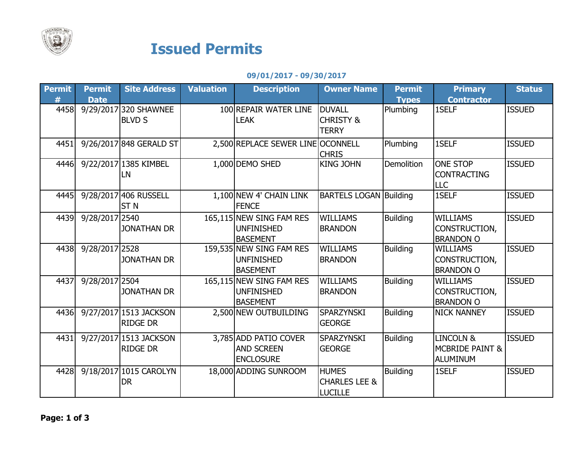

## Issued Permits

09/01/2017 - 09/30/2017

| <b>Permit</b> | <b>Permit</b>  | <b>Site Address</b>     | <b>Valuation</b> | <b>Description</b>                | <b>Owner Name</b>             | <b>Permit</b>   | <b>Primary</b>             | <b>Status</b> |
|---------------|----------------|-------------------------|------------------|-----------------------------------|-------------------------------|-----------------|----------------------------|---------------|
| #             | <b>Date</b>    |                         |                  |                                   |                               | <b>Types</b>    | <b>Contractor</b>          |               |
| 4458          |                | 9/29/2017 320 SHAWNEE   |                  | 100 REPAIR WATER LINE             | <b>DUVALL</b>                 | Plumbing        | 1SELF                      | <b>ISSUED</b> |
|               |                | <b>BLVD S</b>           |                  | <b>LEAK</b>                       | <b>CHRISTY &amp;</b>          |                 |                            |               |
|               |                |                         |                  |                                   | <b>TERRY</b>                  |                 |                            |               |
| 4451          |                | 9/26/2017 848 GERALD ST |                  | 2,500 REPLACE SEWER LINE OCONNELL |                               | Plumbing        | 1SELF                      | <b>ISSUED</b> |
|               |                |                         |                  |                                   | <b>CHRIS</b>                  |                 |                            |               |
| 4446          |                | 9/22/2017 1385 KIMBEL   |                  | 1,000 DEMO SHED                   | <b>KING JOHN</b>              | Demolition      | <b>ONE STOP</b>            | <b>ISSUED</b> |
|               |                | LN                      |                  |                                   |                               |                 | <b>CONTRACTING</b>         |               |
|               |                |                         |                  |                                   |                               |                 | <b>LLC</b>                 |               |
| 4445          |                | 9/28/2017 406 RUSSELL   |                  | 1,100 NEW 4' CHAIN LINK           | <b>BARTELS LOGAN Building</b> |                 | 1SELF                      | <b>ISSUED</b> |
|               |                | ST <sub>N</sub>         |                  | <b>FENCE</b>                      |                               |                 |                            |               |
| 4439          | 9/28/2017 2540 |                         |                  | 165,115 NEW SING FAM RES          | <b>WILLIAMS</b>               | <b>Building</b> | <b>WILLIAMS</b>            | <b>ISSUED</b> |
|               |                | <b>JONATHAN DR</b>      |                  | <b>UNFINISHED</b>                 | <b>BRANDON</b>                |                 | CONSTRUCTION,              |               |
|               |                |                         |                  | <b>BASEMENT</b>                   |                               |                 | <b>BRANDON O</b>           |               |
| 4438          | 9/28/2017 2528 |                         |                  | 159,535 NEW SING FAM RES          | <b>WILLIAMS</b>               | <b>Building</b> | <b>WILLIAMS</b>            | <b>ISSUED</b> |
|               |                | <b>JONATHAN DR</b>      |                  | <b>UNFINISHED</b>                 | <b>BRANDON</b>                |                 | CONSTRUCTION,              |               |
|               |                |                         |                  | <b>BASEMENT</b>                   |                               |                 | <b>BRANDON O</b>           |               |
| 4437          | 9/28/2017 2504 |                         |                  | 165,115 NEW SING FAM RES          | <b>WILLIAMS</b>               | <b>Building</b> | <b>WILLIAMS</b>            | <b>ISSUED</b> |
|               |                | <b>JONATHAN DR</b>      |                  | <b>UNFINISHED</b>                 | <b>BRANDON</b>                |                 | CONSTRUCTION,              |               |
|               |                |                         |                  | <b>BASEMENT</b>                   |                               |                 | <b>BRANDON O</b>           |               |
| 4436          |                | 9/27/2017 1513 JACKSON  |                  | 2,500 NEW OUTBUILDING             | <b>SPARZYNSKI</b>             | <b>Building</b> | <b>NICK NANNEY</b>         | <b>ISSUED</b> |
|               |                | <b>RIDGE DR</b>         |                  |                                   | <b>GEORGE</b>                 |                 |                            |               |
| 4431          |                | 9/27/2017 1513 JACKSON  |                  | 3,785 ADD PATIO COVER             | <b>SPARZYNSKI</b>             | <b>Building</b> | <b>LINCOLN &amp;</b>       | <b>ISSUED</b> |
|               |                | <b>RIDGE DR</b>         |                  | <b>AND SCREEN</b>                 | <b>GEORGE</b>                 |                 | <b>MCBRIDE PAINT &amp;</b> |               |
|               |                |                         |                  | <b>ENCLOSURE</b>                  |                               |                 | <b>ALUMINUM</b>            |               |
| 4428          |                | 9/18/2017 1015 CAROLYN  |                  | 18,000 ADDING SUNROOM             | <b>HUMES</b>                  | <b>Building</b> | 1SELF                      | <b>ISSUED</b> |
|               |                | <b>DR</b>               |                  |                                   | <b>CHARLES LEE &amp;</b>      |                 |                            |               |
|               |                |                         |                  |                                   | <b>LUCILLE</b>                |                 |                            |               |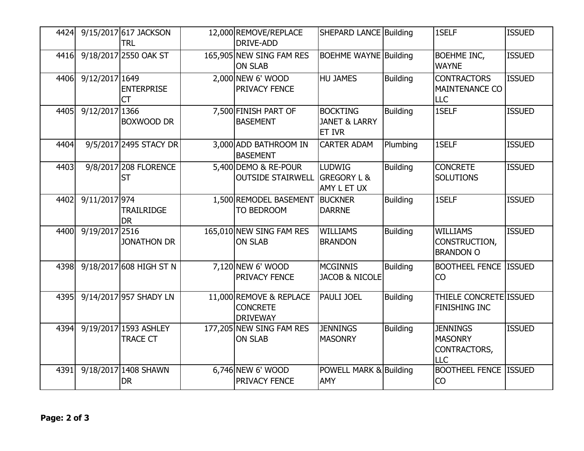| 4424 |                | 9/15/2017 617 JACKSON<br><b>TRL</b>      | 12,000 REMOVE/REPLACE<br>DRIVE-ADD                            | <b>SHEPARD LANCE Building</b>                                |                 | 1SELF                                                           | <b>ISSUED</b> |
|------|----------------|------------------------------------------|---------------------------------------------------------------|--------------------------------------------------------------|-----------------|-----------------------------------------------------------------|---------------|
| 4416 |                | 9/18/2017 2550 OAK ST                    | 165,905 NEW SING FAM RES<br><b>ON SLAB</b>                    | <b>BOEHME WAYNE Building</b>                                 |                 | <b>BOEHME INC,</b><br><b>WAYNE</b>                              | <b>ISSUED</b> |
| 4406 | 9/12/2017 1649 | <b>ENTERPRISE</b><br><b>CT</b>           | 2,000 NEW 6' WOOD<br>PRIVACY FENCE                            | <b>HU JAMES</b>                                              | <b>Building</b> | <b>CONTRACTORS</b><br><b>MAINTENANCE CO</b><br><b>LLC</b>       | <b>ISSUED</b> |
| 4405 | 9/12/2017 1366 | <b>BOXWOOD DR</b>                        | 7,500 FINISH PART OF<br><b>BASEMENT</b>                       | <b>BOCKTING</b><br><b>JANET &amp; LARRY</b><br><b>ET IVR</b> | <b>Building</b> | 1SELF                                                           | <b>ISSUED</b> |
| 4404 |                | 9/5/2017 2495 STACY DR                   | 3,000 ADD BATHROOM IN<br><b>BASEMENT</b>                      | <b>CARTER ADAM</b>                                           | Plumbing        | 1SELF                                                           | <b>ISSUED</b> |
| 4403 |                | 9/8/2017 208 FLORENCE<br><b>ST</b>       | 5,400 DEMO & RE-POUR<br><b>OUTSIDE STAIRWELL</b>              | <b>LUDWIG</b><br><b>GREGORY L &amp;</b><br>AMY L ET UX       | <b>Building</b> | <b>CONCRETE</b><br><b>SOLUTIONS</b>                             | <b>ISSUED</b> |
| 4402 | 9/11/2017 974  | <b>TRAILRIDGE</b><br><b>DR</b>           | 1,500 REMODEL BASEMENT<br>TO BEDROOM                          | <b>BUCKNER</b><br><b>DARRNE</b>                              | <b>Building</b> | 1SELF                                                           | <b>ISSUED</b> |
| 4400 | 9/19/2017 2516 | <b>JONATHON DR</b>                       | 165,010 NEW SING FAM RES<br><b>ON SLAB</b>                    | <b>WILLIAMS</b><br><b>BRANDON</b>                            | <b>Building</b> | <b>WILLIAMS</b><br>CONSTRUCTION,<br><b>BRANDON O</b>            | <b>ISSUED</b> |
| 4398 |                | 9/18/2017 608 HIGH ST N                  | 7,120 NEW 6' WOOD<br>PRIVACY FENCE                            | <b>MCGINNIS</b><br><b>JACOB &amp; NICOLE</b>                 | <b>Building</b> | <b>BOOTHEEL FENCE ISSUED</b><br><b>CO</b>                       |               |
| 4395 |                | 9/14/2017 957 SHADY LN                   | 11,000 REMOVE & REPLACE<br><b>CONCRETE</b><br><b>DRIVEWAY</b> | <b>PAULI JOEL</b>                                            | <b>Building</b> | THIELE CONCRETE ISSUED<br>FINISHING INC                         |               |
| 4394 |                | 9/19/2017 1593 ASHLEY<br><b>TRACE CT</b> | 177,205 NEW SING FAM RES<br><b>ON SLAB</b>                    | <b>JENNINGS</b><br><b>MASONRY</b>                            | <b>Building</b> | <b>JENNINGS</b><br><b>MASONRY</b><br>CONTRACTORS,<br><b>LLC</b> | <b>ISSUED</b> |
| 4391 |                | 9/18/2017 1408 SHAWN<br><b>DR</b>        | 6,746 NEW 6' WOOD<br>PRIVACY FENCE                            | POWELL MARK & Building<br><b>AMY</b>                         |                 | <b>BOOTHEEL FENCE ISSUED</b><br><b>CO</b>                       |               |